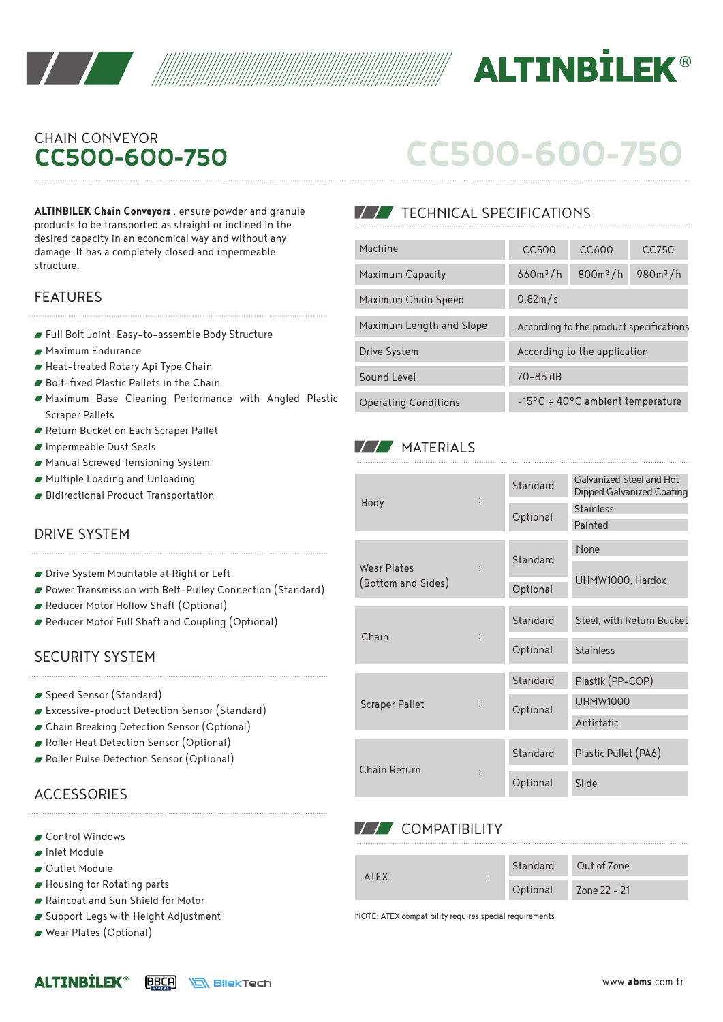



# **CC500-600-750** CHAIN CONVEYOR

**ALTINBILEK Chain Conveyors** , ensure powder and granule products to be transported as straight or inclined in the desired capacity in an economical way and without any damage. It has a completely closed and impermeable structure.

#### FEATURES

- Full Bolt Joint, Easy-to-assemble Body Structure
- Maximum Endurance
- Heat-treated Rotary Api Type Chain
- Bolt-fixed Plastic Pallets in the Chain
- Maximum Base Cleaning Performance with Angled Plastic Scraper Pallets
- Return Bucket on Each Scraper Pallet
- Impermeable Dust Seals
- Manual Screwed Tensioning System
- Multiple Loading and Unloading
- Bidirectional Product Transportation

### DRIVE SYSTEM

- Drive System Mountable at Right or Left
- Power Transmission with Belt-Pulley Connection (Standard)
- Reducer Motor Hollow Shaft (Optional)
- Reducer Motor Full Shaft and Coupling (Optional)

#### SECURITY SYSTEM

- Speed Sensor (Standard)
- Excessive-product Detection Sensor (Standard)
- Chain Breaking Detection Sensor (Optional)
- Roller Heat Detection Sensor (Optional)
- Roller Pulse Detection Sensor (Optional)

### **ACCESSORIES**

- Control Windows
- Inlet Module
- Outlet Module
- Housing for Rotating parts
- Raincoat and Sun Shield for Motor
- Support Legs with Height Adjustment
- Wear Plates (Optional)

| CC500-600-750 |  |  |
|---------------|--|--|
|               |  |  |
|               |  |  |

## **TECHNICAL SPECIFICATIONS**

| Machine                     | <b>CC500</b>                               | CC <sub>600</sub> | CC750      |  |
|-----------------------------|--------------------------------------------|-------------------|------------|--|
| Maximum Capacity            | $660m^3/h$                                 | $800m^3/h$        | $980m^3/h$ |  |
| Maximum Chain Speed         | 0.82m/s                                    |                   |            |  |
| Maximum Length and Slope    | According to the product specifications    |                   |            |  |
| Drive System                | According to the application               |                   |            |  |
| Sound Level                 | $70 - 85$ dB                               |                   |            |  |
| <b>Operating Conditions</b> | $-15^{\circ}$ C ÷ 40°C ambient temperature |                   |            |  |

### **MATERIALS**

| <b>Body</b>           |  | Standard | Galvanized Steel and Hot<br>Dipped Galvanized Coating |  |  |
|-----------------------|--|----------|-------------------------------------------------------|--|--|
|                       |  |          | <b>Stainless</b>                                      |  |  |
|                       |  | Optional | Painted                                               |  |  |
|                       |  |          | None                                                  |  |  |
| Wear Plates           |  | Standard |                                                       |  |  |
| (Bottom and Sides)    |  | Optional | UHMW1000, Hardox                                      |  |  |
|                       |  | Standard | Steel, with Return Bucket                             |  |  |
| Chain                 |  |          |                                                       |  |  |
|                       |  | Optional | <b>Stainless</b>                                      |  |  |
|                       |  | Standard | Plastik (PP-COP)                                      |  |  |
| <b>Scraper Pallet</b> |  |          | <b>UHMW1000</b>                                       |  |  |
|                       |  | Optional | Antistatic                                            |  |  |
|                       |  |          |                                                       |  |  |
|                       |  | Standard | Plastic Pullet (PA6)                                  |  |  |
| Chain Return          |  | Optional | Slide                                                 |  |  |

### **VV** COMPATIBILITY

| ATFX<br>٠ |          | Standard Out of Zone |
|-----------|----------|----------------------|
| ٠         | Optional | Zone 22 - 21         |

NOTE: ATEX compatibility requires special requirements